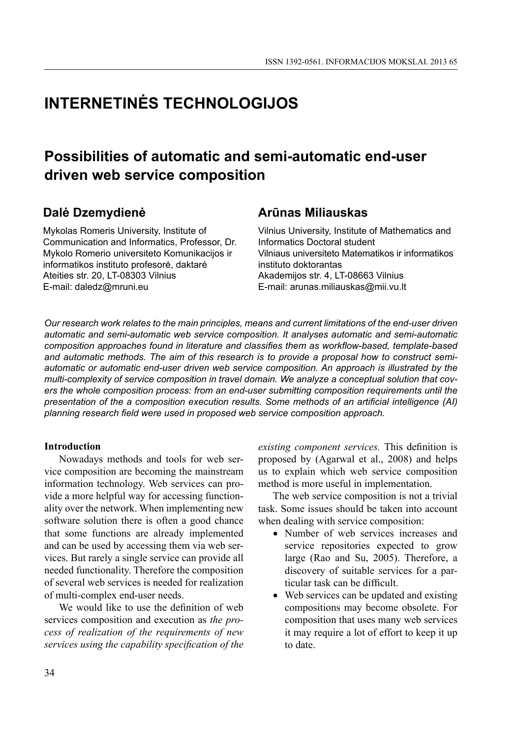# **INTERNETINĖS TECHNOLOGIJOS**

# **Possibilities of automatic and semi-automatic end-user driven web service composition**

# **Dalė Dzemydienė**

Mykolas Romeris University, Institute of Communication and Informatics, Professor, Dr. Mykolo Romerio universiteto Komunikacijos ir informatikos instituto profesorė, daktarė Ateities str. 20, LT-08303 Vilnius E-mail: daledz@mruni.eu

# **Arūnas Miliauskas**

Vilnius University, Institute of Mathematics and Informatics Doctoral student Vilniaus universiteto Matematikos ir informatikos instituto doktorantas Akademijos str. 4, LT-08663 Vilnius E-mail: arunas.miliauskas@mii.vu.lt

*Our research work relates to the main principles, means and current limitations of the end-user driven automatic and semi-automatic web service composition. It analyses automatic and semi-automatic*  composition approaches found in literature and classifies them as workflow-based, template-based *and automatic methods. The aim of this research is to provide a proposal how to construct semiautomatic or automatic end-user driven web service composition. An approach is illustrated by the multi-complexity of service composition in travel domain. We analyze a conceptual solution that covers the whole composition process: from an end-user submitting composition requirements until the presentation of the a composition execution results. Some methods of an artificial intelligence (AI)* planning research field were used in proposed web service composition approach.

#### **Introduction**

Nowadays methods and tools for web service composition are becoming the mainstream information technology. Web services can provide a more helpful way for accessing functionality over the network. When implementing new software solution there is often a good chance that some functions are already implemented and can be used by accessing them via web services. But rarely a single service can provide all needed functionality. Therefore the composition of several web services is needed for realization of multi-complex end-user needs.

We would like to use the definition of web services composition and execution as *the process of realization of the requirements of new services using the capability specification of the* 

*existing component services.* This definition is proposed by (Agarwal et al., 2008) and helps us to explain which web service composition method is more useful in implementation.

The web service composition is not a trivial task. Some issues should be taken into account when dealing with service composition:

- Number of web services increases and service repositories expected to grow large (Rao and Su, 2005). Therefore, a discovery of suitable services for a particular task can be difficult.
- Web services can be updated and existing compositions may become obsolete. For composition that uses many web services it may require a lot of effort to keep it up to date.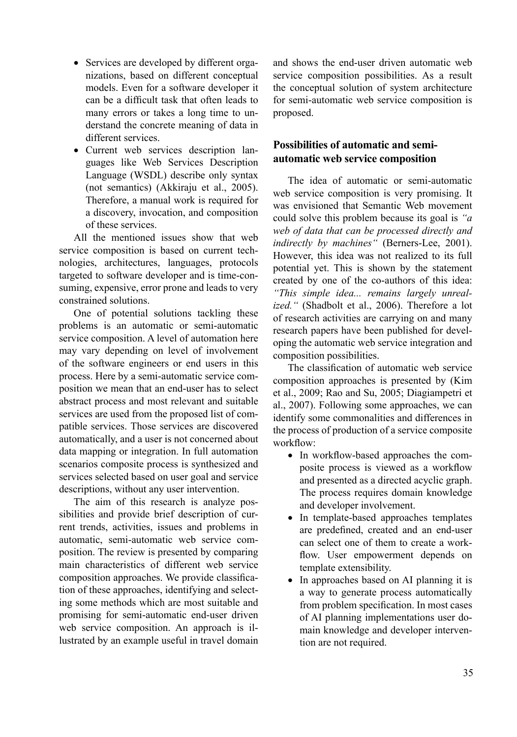- Services are developed by different organizations, based on different conceptual models. Even for a software developer it can be a difficult task that often leads to many errors or takes a long time to understand the concrete meaning of data in different services.
- Current web services description languages like Web Services Description Language (WSDL) describe only syntax (not semantics) (Akkiraju et al., 2005). Therefore, a manual work is required for a discovery, invocation, and composition of these services.

All the mentioned issues show that web service composition is based on current technologies, architectures, languages, protocols targeted to software developer and is time-consuming, expensive, error prone and leads to very constrained solutions.

One of potential solutions tackling these problems is an automatic or semi-automatic service composition. A level of automation here may vary depending on level of involvement of the software engineers or end users in this process. Here by a semi-automatic service composition we mean that an end-user has to select abstract process and most relevant and suitable services are used from the proposed list of compatible services. Those services are discovered automatically, and a user is not concerned about data mapping or integration. In full automation scenarios composite process is synthesized and services selected based on user goal and service descriptions, without any user intervention.

The aim of this research is analyze possibilities and provide brief description of current trends, activities, issues and problems in automatic, semi-automatic web service composition. The review is presented by comparing main characteristics of different web service composition approaches. We provide classification of these approaches, identifying and selecting some methods which are most suitable and promising for semi-automatic end-user driven web service composition. An approach is illustrated by an example useful in travel domain

and shows the end-user driven automatic web service composition possibilities. As a result the conceptual solution of system architecture for semi-automatic web service composition is proposed.

## **Possibilities of automatic and semiautomatic web service composition**

The idea of automatic or semi-automatic web service composition is very promising. It was envisioned that Semantic Web movement could solve this problem because its goal is *"a web of data that can be processed directly and indirectly by machines"* (Berners-Lee, 2001). However, this idea was not realized to its full potential yet. This is shown by the statement created by one of the co-authors of this idea: *"This simple idea... remains largely unrealized."* (Shadbolt et al., 2006). Therefore a lot of research activities are carrying on and many research papers have been published for developing the automatic web service integration and composition possibilities.

The classification of automatic web service composition approaches is presented by (Kim et al., 2009; Rao and Su, 2005; Diagiampetri et al., 2007). Following some approaches, we can identify some commonalities and differences in the process of production of a service composite workflow:

- In workflow-based approaches the composite process is viewed as a workflow and presented as a directed acyclic graph. The process requires domain knowledge and developer involvement.
- In template-based approaches templates are predefined, created and an end-user can select one of them to create a workflow. User empowerment depends on template extensibility.
- In approaches based on AI planning it is a way to generate process automatically from problem specification. In most cases of AI planning implementations user domain knowledge and developer intervention are not required.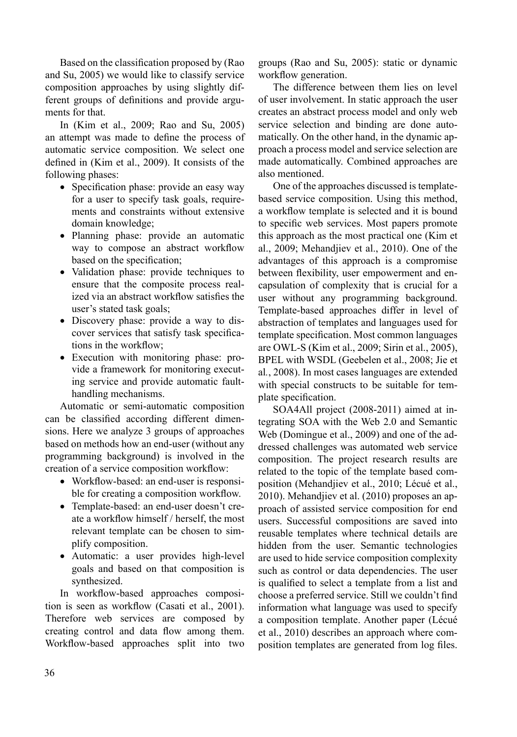Based on the classification proposed by (Rao and Su, 2005) we would like to classify service composition approaches by using slightly different groups of definitions and provide arguments for that.

In (Kim et al., 2009; Rao and Su, 2005) an attempt was made to define the process of automatic service composition. We select one defined in (Kim et al., 2009). It consists of the following phases:

- Specification phase: provide an easy way for a user to specify task goals, requirements and constraints without extensive domain knowledge;
- Planning phase: provide an automatic way to compose an abstract workflow based on the specification;
- Validation phase: provide techniques to ensure that the composite process realized via an abstract workflow satisfies the user's stated task goals;
- Discovery phase: provide a way to discover services that satisfy task specifications in the workflow;
- Execution with monitoring phase: provide a framework for monitoring executing service and provide automatic faulthandling mechanisms.

Automatic or semi-automatic composition can be classified according different dimensions. Here we analyze 3 groups of approaches based on methods how an end-user (without any programming background) is involved in the creation of a service composition workflow:

- Workflow-based: an end-user is responsible for creating a composition workflow.
- Template-based: an end-user doesn't create a workflow himself / herself, the most relevant template can be chosen to simplify composition.
- Automatic: a user provides high-level goals and based on that composition is synthesized.

In workflow-based approaches composition is seen as workflow (Casati et al., 2001). Therefore web services are composed by creating control and data flow among them. Workflow-based approaches split into two

groups (Rao and Su, 2005): static or dynamic workflow generation.

The difference between them lies on level of user involvement. In static approach the user creates an abstract process model and only web service selection and binding are done automatically. On the other hand, in the dynamic approach a process model and service selection are made automatically. Combined approaches are also mentioned.

One of the approaches discussed is templatebased service composition. Using this method, a workflow template is selected and it is bound to specific web services. Most papers promote this approach as the most practical one (Kim et al., 2009; Mehandjiev et al., 2010). One of the advantages of this approach is a compromise between flexibility, user empowerment and encapsulation of complexity that is crucial for a user without any programming background. Template-based approaches differ in level of abstraction of templates and languages used for template specification. Most common languages are OWL-S (Kim et al., 2009; Sirin et al., 2005), BPEL with WSDL (Geebelen et al., 2008; Jie et al*.*, 2008). In most cases languages are extended with special constructs to be suitable for template specification.

SOA4All project (2008-2011) aimed at integrating SOA with the Web 2.0 and Semantic Web (Domingue et al., 2009) and one of the addressed challenges was automated web service composition. The project research results are related to the topic of the template based composition (Mehandjiev et al., 2010; Lécué et al., 2010). Mehandjiev et al. (2010) proposes an approach of assisted service composition for end users. Successful compositions are saved into reusable templates where technical details are hidden from the user. Semantic technologies are used to hide service composition complexity such as control or data dependencies. The user is qualified to select a template from a list and choose a preferred service. Still we couldn't find information what language was used to specify a composition template. Another paper (Lécué et al., 2010) describes an approach where composition templates are generated from log files.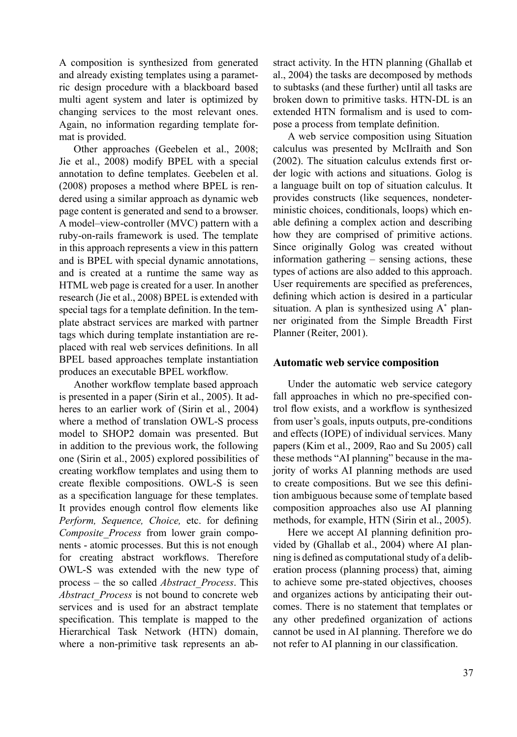A composition is synthesized from generated and already existing templates using a parametric design procedure with a blackboard based multi agent system and later is optimized by changing services to the most relevant ones. Again, no information regarding template format is provided.

Other approaches (Geebelen et al., 2008; Jie et al., 2008) modify BPEL with a special annotation to define templates. Geebelen et al. (2008) proposes a method where BPEL is rendered using a similar approach as dynamic web page content is generated and send to a browser. A model–view-controller (MVC) pattern with a ruby-on-rails framework is used. The template in this approach represents a view in this pattern and is BPEL with special dynamic annotations, and is created at a runtime the same way as HTML web page is created for a user. In another research (Jie et al., 2008) BPEL is extended with special tags for a template definition. In the template abstract services are marked with partner tags which during template instantiation are replaced with real web services definitions. In all BPEL based approaches template instantiation produces an executable BPEL workflow.

Another workflow template based approach is presented in a paper (Sirin et al., 2005). It adheres to an earlier work of (Sirin et al*.*, 2004) where a method of translation OWL-S process model to SHOP2 domain was presented. But in addition to the previous work, the following one (Sirin et al., 2005) explored possibilities of creating workflow templates and using them to create flexible compositions. OWL-S is seen as a specification language for these templates. It provides enough control flow elements like *Perform, Sequence, Choice, etc. for defining Composite\_Process* from lower grain components - atomic processes. But this is not enough for creating abstract workflows. Therefore OWL-S was extended with the new type of process – the so called *Abstract\_Process*. This *Abstract\_Process* is not bound to concrete web services and is used for an abstract template specification. This template is mapped to the Hierarchical Task Network (HTN) domain, where a non-primitive task represents an abstract activity. In the HTN planning (Ghallab et al., 2004) the tasks are decomposed by methods to subtasks (and these further) until all tasks are broken down to primitive tasks. HTN-DL is an extended HTN formalism and is used to compose a process from template definition.

A web service composition using Situation calculus was presented by McIlraith and Son  $(2002)$ . The situation calculus extends first order logic with actions and situations. Golog is a language built on top of situation calculus. It provides constructs (like sequences, nondeterministic choices, conditionals, loops) which enable defining a complex action and describing how they are comprised of primitive actions. Since originally Golog was created without information gathering – sensing actions, these types of actions are also added to this approach. User requirements are specified as preferences, defining which action is desired in a particular situation. A plan is synthesized using A\* planner originated from the Simple Breadth First Planner (Reiter, 2001).

#### **Automatic web service composition**

Under the automatic web service category fall approaches in which no pre-specified control flow exists, and a workflow is synthesized from user's goals, inputs outputs, pre-conditions and effects (IOPE) of individual services. Many papers (Kim et al., 2009, Rao and Su 2005) call these methods "AI planning" because in the majority of works AI planning methods are used to create compositions. But we see this definition ambiguous because some of template based composition approaches also use AI planning methods, for example, HTN (Sirin et al., 2005).

Here we accept AI planning definition provided by (Ghallab et al., 2004) where AI planning is defined as computational study of a deliberation process (planning process) that, aiming to achieve some pre-stated objectives, chooses and organizes actions by anticipating their outcomes. There is no statement that templates or any other predefined organization of actions cannot be used in AI planning. Therefore we do not refer to AI planning in our classification.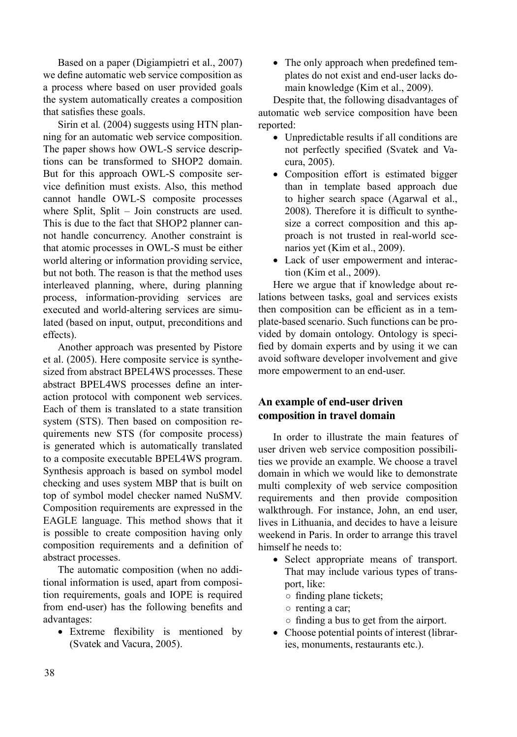Based on a paper (Digiampietri et al., 2007) we define automatic web service composition as a process where based on user provided goals the system automatically creates a composition that satisfies these goals.

Sirin et al*.* (2004) suggests using HTN planning for an automatic web service composition. The paper shows how OWL-S service descriptions can be transformed to SHOP2 domain. But for this approach OWL-S composite service definition must exists. Also, this method cannot handle OWL-S composite processes where Split, Split – Join constructs are used. This is due to the fact that SHOP2 planner cannot handle concurrency. Another constraint is that atomic processes in OWL-S must be either world altering or information providing service, but not both. The reason is that the method uses interleaved planning, where, during planning process, information-providing services are executed and world-altering services are simulated (based on input, output, preconditions and effects).

Another approach was presented by Pistore et al. (2005). Here composite service is synthesized from abstract BPEL4WS processes. These abstract BPEL4WS processes define an interaction protocol with component web services. Each of them is translated to a state transition system (STS). Then based on composition requirements new STS (for composite process) is generated which is automatically translated to a composite executable BPEL4WS program. Synthesis approach is based on symbol model checking and uses system MBP that is built on top of symbol model checker named NuSMV. Composition requirements are expressed in the EAGLE language. This method shows that it is possible to create composition having only composition requirements and a definition of abstract processes.

The automatic composition (when no additional information is used, apart from composition requirements, goals and IOPE is required from end-user) has the following benefits and advantages:

• Extreme flexibility is mentioned by (Svatek and Vacura, 2005).

• The only approach when predefined templates do not exist and end-user lacks domain knowledge (Kim et al., 2009).

Despite that, the following disadvantages of automatic web service composition have been reported:

- Unpredictable results if all conditions are not perfectly specified (Svatek and Vacura, 2005).
- Composition effort is estimated bigger than in template based approach due to higher search space (Agarwal et al., 2008). Therefore it is difficult to synthesize a correct composition and this approach is not trusted in real-world scenarios yet (Kim et al., 2009).
- Lack of user empowerment and interaction (Kim et al., 2009).

Here we argue that if knowledge about relations between tasks, goal and services exists then composition can be efficient as in a template-based scenario. Such functions can be provided by domain ontology. Ontology is specified by domain experts and by using it we can avoid software developer involvement and give more empowerment to an end-user.

## **An example of end-user driven composition in travel domain**

In order to illustrate the main features of user driven web service composition possibilities we provide an example. We choose a travel domain in which we would like to demonstrate multi complexity of web service composition requirements and then provide composition walkthrough. For instance, John, an end user, lives in Lithuania, and decides to have a leisure weekend in Paris. In order to arrange this travel himself he needs to:

- Select appropriate means of transport. That may include various types of transport, like:
	- $\circ$  finding plane tickets;
	- renting a car;
	- $\circ$  finding a bus to get from the airport.
- Choose potential points of interest (libraries, monuments, restaurants etc.).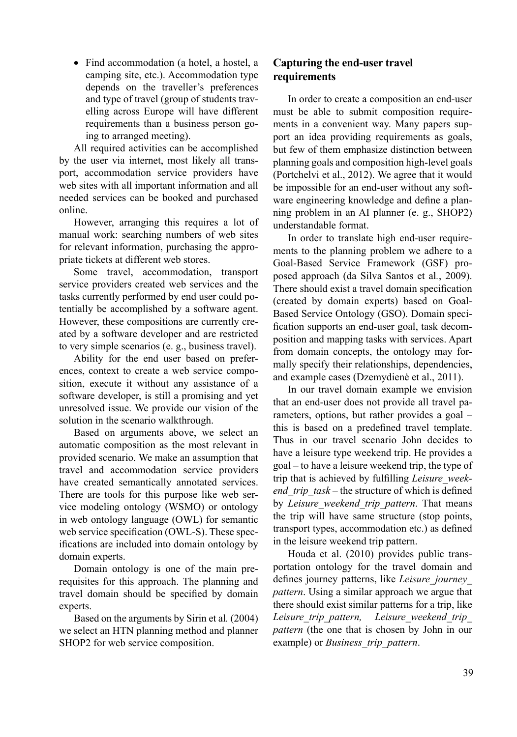• Find accommodation (a hotel, a hostel, a camping site, etc.). Accommodation type depends on the traveller's preferences and type of travel (group of students travelling across Europe will have different requirements than a business person going to arranged meeting).

All required activities can be accomplished by the user via internet, most likely all transport, accommodation service providers have web sites with all important information and all needed services can be booked and purchased online.

However, arranging this requires a lot of manual work: searching numbers of web sites for relevant information, purchasing the appropriate tickets at different web stores.

Some travel, accommodation, transport service providers created web services and the tasks currently performed by end user could potentially be accomplished by a software agent. However, these compositions are currently created by a software developer and are restricted to very simple scenarios (e. g., business travel).

Ability for the end user based on preferences, context to create a web service composition, execute it without any assistance of a software developer, is still a promising and yet unresolved issue. We provide our vision of the solution in the scenario walkthrough.

Based on arguments above, we select an automatic composition as the most relevant in provided scenario. We make an assumption that travel and accommodation service providers have created semantically annotated services. There are tools for this purpose like web service modeling ontology (WSMO) or ontology in web ontology language (OWL) for semantic web service specification (OWL-S). These specifications are included into domain ontology by domain experts.

Domain ontology is one of the main prerequisites for this approach. The planning and travel domain should be specified by domain experts.

Based on the arguments by Sirin et al*.* (2004) we select an HTN planning method and planner SHOP2 for web service composition.

### **Capturing the end-user travel requirements**

In order to create a composition an end-user must be able to submit composition requirements in a convenient way. Many papers support an idea providing requirements as goals, but few of them emphasize distinction between planning goals and composition high-level goals (Portchelvi et al., 2012). We agree that it would be impossible for an end-user without any software engineering knowledge and define a planning problem in an AI planner (e. g., SHOP2) understandable format.

In order to translate high end-user requirements to the planning problem we adhere to a Goal-Based Service Framework (GSF) proposed approach (da Silva Santos et al*.*, 2009). There should exist a travel domain specification (created by domain experts) based on Goal-Based Service Ontology (GSO). Domain specification supports an end-user goal, task decomposition and mapping tasks with services. Apart from domain concepts, the ontology may formally specify their relationships, dependencies, and example cases (Dzemydienė et al., 2011).

In our travel domain example we envision that an end-user does not provide all travel parameters, options, but rather provides a goal – this is based on a predefined travel template. Thus in our travel scenario John decides to have a leisure type weekend trip. He provides a goal – to have a leisure weekend trip, the type of trip that is achieved by fulfilling *Leisure* week*end\_trip\_task* – the structure of which is defined by *Leisure\_weekend\_trip\_pattern*. That means the trip will have same structure (stop points, transport types, accommodation etc.) as defined in the leisure weekend trip pattern.

Houda et al. (2010) provides public transportation ontology for the travel domain and defines journey patterns, like *Leisure journey pattern*. Using a similar approach we argue that there should exist similar patterns for a trip, like *Leisure\_trip\_pattern, Leisure\_weekend\_trip\_ pattern* (the one that is chosen by John in our example) or *Business\_trip\_pattern*.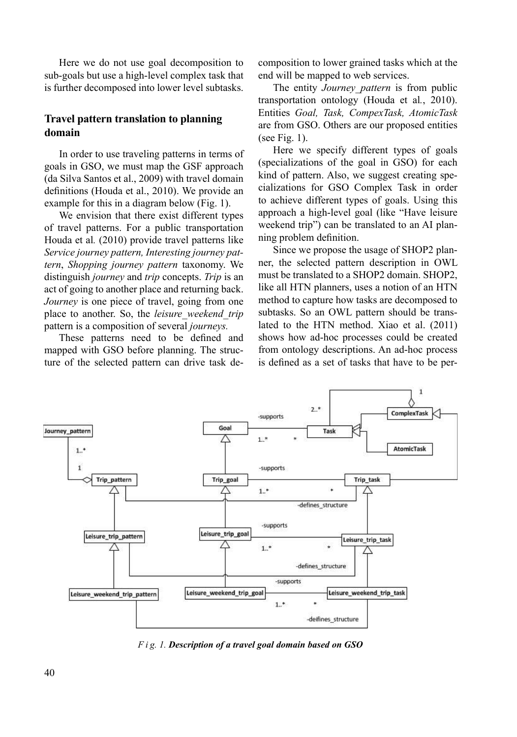Here we do not use goal decomposition to sub-goals but use a high-level complex task that is further decomposed into lower level subtasks.

#### **Travel pattern translation to planning domain**

In order to use traveling patterns in terms of goals in GSO, we must map the GSF approach (da Silva Santos et al., 2009) with travel domain definitions (Houda et al., 2010). We provide an example for this in a diagram below (Fig. 1).

We envision that there exist different types of travel patterns. For a public transportation Houda et al*.* (2010) provide travel patterns like *Service journey pattern, Interesting journey pattern*, *Shopping journey pattern* taxonomy. We distinguish *journey* and *trip* concepts. *Trip* is an act of going to another place and returning back. *Journey* is one piece of travel, going from one place to another. So, the *leisure\_weekend\_trip* pattern is a composition of several *journeys.*

These patterns need to be defined and mapped with GSO before planning. The structure of the selected pattern can drive task decomposition to lower grained tasks which at the end will be mapped to web services.

The entity *Journey\_pattern* is from public transportation ontology (Houda et al*.*, 2010). Entities *Goal, Task, CompexTask, AtomicTask*  are from GSO. Others are our proposed entities (see Fig. 1).

Here we specify different types of goals (specializations of the goal in GSO) for each kind of pattern. Also, we suggest creating specializations for GSO Complex Task in order to achieve different types of goals. Using this approach a high-level goal (like "Have leisure weekend trip") can be translated to an AI planning problem definition.

Since we propose the usage of SHOP2 planner, the selected pattern description in OWL must be translated to a SHOP2 domain. SHOP2, like all HTN planners, uses a notion of an HTN method to capture how tasks are decomposed to subtasks. So an OWL pattern should be translated to the HTN method. Xiao et al. (2011) shows how ad-hoc processes could be created from ontology descriptions. An ad-hoc process is defined as a set of tasks that have to be per-



*F i g. 1. Description of a travel goal domain based on GSO*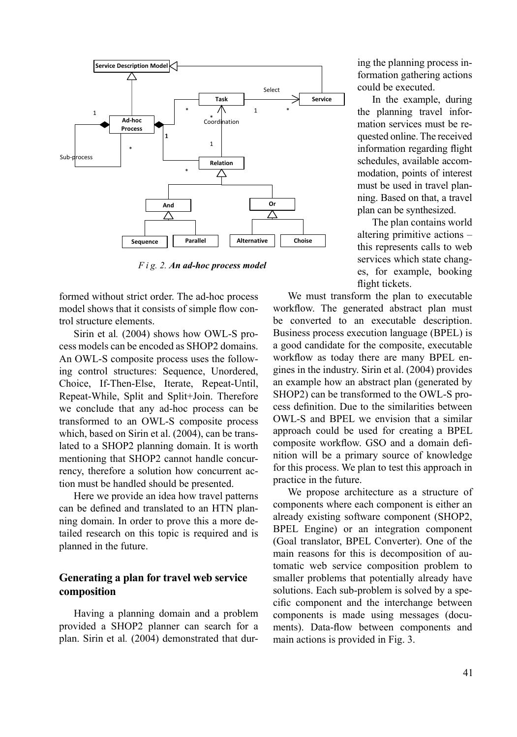

*F i g. 2. An ad-hoc process model*

formed without strict order. The ad-hoc process model shows that it consists of simple flow control structure elements.

Sirin et al*.* (2004) shows how OWL-S process models can be encoded as SHOP2 domains. An OWL-S composite process uses the following control structures: Sequence, Unordered, Choice, If-Then-Else, Iterate, Repeat-Until, Repeat-While, Split and Split+Join. Therefore we conclude that any ad-hoc process can be transformed to an OWL-S composite process which, based on Sirin et al. (2004), can be translated to a SHOP2 planning domain. It is worth mentioning that SHOP2 cannot handle concurrency, therefore a solution how concurrent action must be handled should be presented.

Here we provide an idea how travel patterns can be defined and translated to an HTN planning domain. In order to prove this a more detailed research on this topic is required and is planned in the future.

### **Generating a plan for travel web service composition**

Having a planning domain and a problem provided a SHOP2 planner can search for a plan. Sirin et al*.* (2004) demonstrated that during the planning process information gathering actions could be executed.

In the example, during the planning travel information services must be requested online. The received information regarding flight schedules, available accommodation, points of interest must be used in travel planning. Based on that, a travel plan can be synthesized.

The plan contains world altering primitive actions – this represents calls to web services which state changes, for example, booking flight tickets.

We must transform the plan to executable workflow. The generated abstract plan must be converted to an executable description. Business process execution language (BPEL) is a good candidate for the composite, executable workflow as today there are many BPEL engines in the industry. Sirin et al. (2004) provides an example how an abstract plan (generated by SHOP2) can be transformed to the OWL-S process definition. Due to the similarities between OWL-S and BPEL we envision that a similar approach could be used for creating a BPEL composite workflow. GSO and a domain definition will be a primary source of knowledge for this process. We plan to test this approach in practice in the future.

We propose architecture as a structure of components where each component is either an already existing software component (SHOP2, BPEL Engine) or an integration component (Goal translator, BPEL Converter). One of the main reasons for this is decomposition of automatic web service composition problem to smaller problems that potentially already have solutions. Each sub-problem is solved by a specific component and the interchange between components is made using messages (documents). Data-flow between components and main actions is provided in Fig. 3.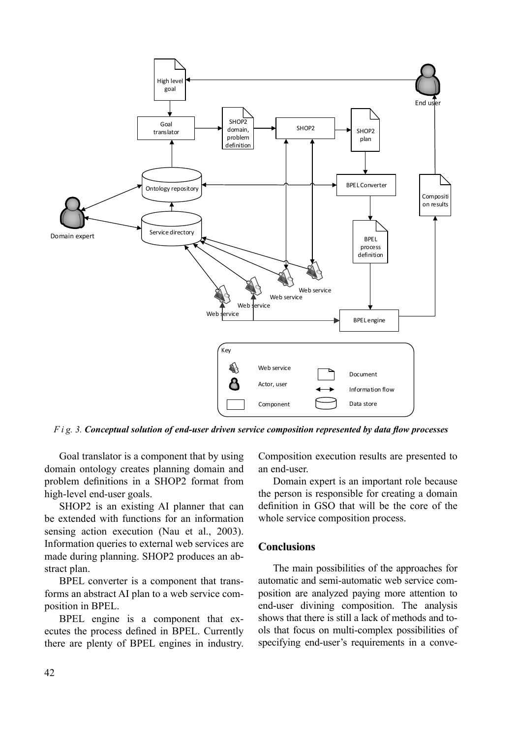

*F* i g. 3. *Conceptual solution of end-user driven service composition represented by data flow processes* 

Goal translator is a component that by using domain ontology creates planning domain and problem definitions in a SHOP2 format from high-level end-user goals.

SHOP2 is an existing AI planner that can be extended with functions for an information sensing action execution (Nau et al., 2003). Information queries to external web services are made during planning. SHOP2 produces an abstract plan.

BPEL converter is a component that transforms an abstract AI plan to a web service composition in BPEL.

BPEL engine is a component that executes the process defined in BPEL. Currently there are plenty of BPEL engines in industry. Composition execution results are presented to an end-user.

Domain expert is an important role because the person is responsible for creating a domain definition in GSO that will be the core of the whole service composition process.

#### **Conclusions**

The main possibilities of the approaches for automatic and semi-automatic web service composition are analyzed paying more attention to end-user divining composition. The analysis shows that there is still a lack of methods and tools that focus on multi-complex possibilities of specifying end-user's requirements in a conve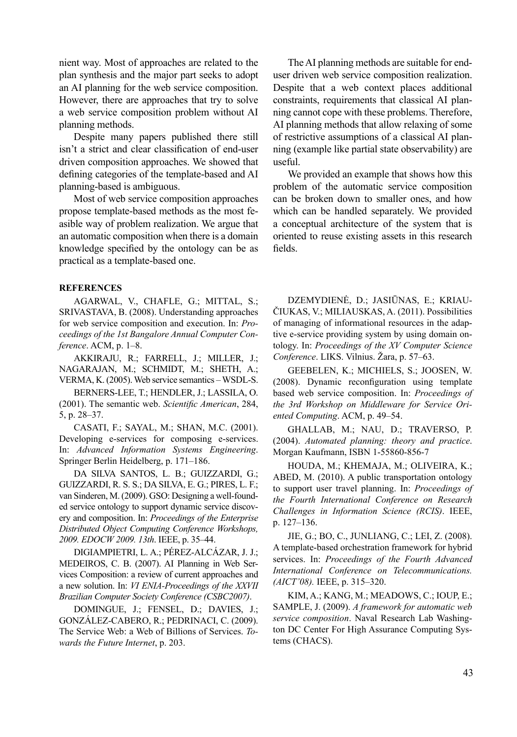nient way. Most of approaches are related to the plan synthesis and the major part seeks to adopt an AI planning for the web service composition. However, there are approaches that try to solve a web service composition problem without AI planning methods.

Despite many papers published there still isn't a strict and clear classification of end-user driven composition approaches. We showed that defining categories of the template-based and AI planning-based is ambiguous.

Most of web service composition approaches propose template-based methods as the most feasible way of problem realization. We argue that an automatic composition when there is a domain knowledge specified by the ontology can be as practical as a template-based one.

#### **REFERENCES**

AGARWAL, V., CHAFLE, G.; MITTAL, S.; SRIVASTAVA, B. (2008). Understanding approaches for web service composition and execution. In: *Proceedings of the 1st Bangalore Annual Computer Conference*. ACM, p. 1–8.

AKKIRAJU, R.; FARRELL, J.; MILLER, J.; NAGARAJAN, M.; SCHMIDT, M.; SHETH, A.; VERMA, K. (2005). Web service semantics – WSDL-S.

BERNERS-LEE, T.; HENDLER, J.; LASSILA, O. (2001). The semantic web. *Scientific American*, 284, 5, p. 28–37.

CASATI, F.; SAYAL, M.; SHAN, M.C. (2001). Developing e-services for composing e-services. In: *Advanced Information Systems Engineering*. Springer Berlin Heidelberg, p. 171–186.

DA SILVA SANTOS, L. B.; GUIZZARDI, G.; GUIZZARDI, R. S. S.; DA SILVA, E. G.; PIRES, L. F.; van Sinderen, M. (2009). GSO: Designing a well-founded service ontology to support dynamic service discovery and composition. In: *Proceedings of the Enterprise Distributed Object Computing Conference Workshops, 2009. EDOCW 2009. 13th*. IEEE, p. 35–44.

DIGIAMPIETRI, L. A.; PÉREZ-ALCÁZAR, J. J.; MEDEIROS, C. B. (2007). AI Planning in Web Services Composition: a review of current approaches and a new solution. In: *VI ENIA-Proceedings of the XXVII Brazilian Computer Society Conference (CSBC2007)*.

DOMINGUE, J.; FENSEL, D.; DAVIES, J.; GONZÁLEZ-CABERO, R.; PEDRINACI, C. (2009). The Service Web: a Web of Billions of Services. *Towards the Future Internet*, p. 203.

The AI planning methods are suitable for enduser driven web service composition realization. Despite that a web context places additional constraints, requirements that classical AI planning cannot cope with these problems. Therefore, AI planning methods that allow relaxing of some of restrictive assumptions of a classical AI planning (example like partial state observability) are useful.

We provided an example that shows how this problem of the automatic service composition can be broken down to smaller ones, and how which can be handled separately. We provided a conceptual architecture of the system that is oriented to reuse existing assets in this research fields.

DZEMYDIENĖ, D.; JASIŪNAS, E.; KRIAU-ČIUKAS, V.; MILIAUSKAS, A. (2011). Possibilities of managing of informational resources in the adaptive e-service providing system by using domain ontology. In: *Proceedings of the XV Computer Science Conference*. LIKS. Vilnius. Žara, p. 57–63.

GEEBELEN, K.; MICHIELS, S.; JOOSEN, W.  $(2008)$ . Dynamic reconfiguration using template based web service composition. In: *Proceedings of the 3rd Workshop on Middleware for Service Oriented Computing*. ACM, p. 49–54.

GHALLAB, M.; NAU, D.; TRAVERSO, P. (2004). *Automated planning: theory and practice*. Morgan Kaufmann, ISBN 1-55860-856-7

HOUDA, M.; KHEMAJA, M.; OLIVEIRA, K.; ABED, M. (2010). A public transportation ontology to support user travel planning. In: *Proceedings of the Fourth International Conference on Research Challenges in Information Science (RCIS)*. IEEE, p. 127–136.

JIE, G.; BO, C., JUNLIANG, C.; LEI, Z. (2008). A template-based orchestration framework for hybrid services. In: *Proceedings of the Fourth Advanced International Conference on Telecommunications. (AICT'08).* IEEE, p. 315–320.

KIM, A.; KANG, M.; MEADOWS, C.; IOUP, E.; SAMPLE, J. (2009). *A framework for automatic web service composition*. Naval Research Lab Washington DC Center For High Assurance Computing Systems (CHACS).